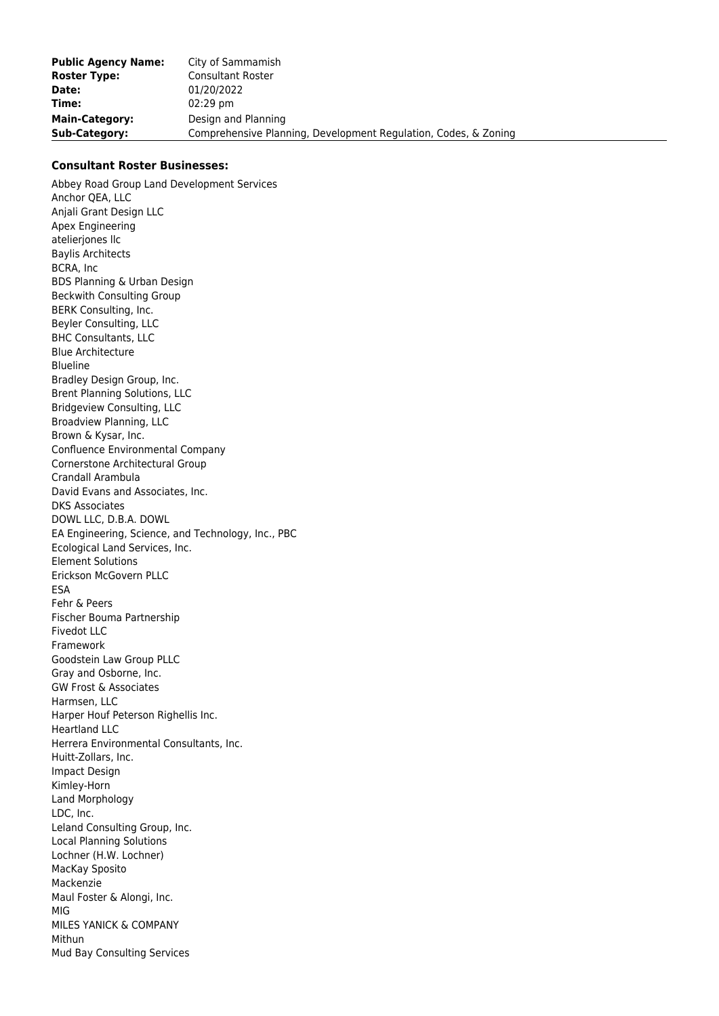| <b>Public Agency Name:</b> | City of Sammamish                                               |
|----------------------------|-----------------------------------------------------------------|
| <b>Roster Type:</b>        | <b>Consultant Roster</b>                                        |
| Date:                      | 01/20/2022                                                      |
| Time:                      | $02:29$ pm                                                      |
| <b>Main-Category:</b>      | Design and Planning                                             |
| Sub-Category:              | Comprehensive Planning, Development Regulation, Codes, & Zoning |

## **Consultant Roster Businesses:**

Abbey Road Group Land Development Services Anchor QEA, LLC Anjali Grant Design LLC Apex Engineering atelierjones llc Baylis Architects BCRA, Inc BDS Planning & Urban Design Beckwith Consulting Group BERK Consulting, Inc. Beyler Consulting, LLC BHC Consultants, LLC Blue Architecture Blueline Bradley Design Group, Inc. Brent Planning Solutions, LLC Bridgeview Consulting, LLC Broadview Planning, LLC Brown & Kysar, Inc. Confluence Environmental Company Cornerstone Architectural Group Crandall Arambula David Evans and Associates, Inc. DKS Associates DOWL LLC, D.B.A. DOWL EA Engineering, Science, and Technology, Inc., PBC Ecological Land Services, Inc. Element Solutions Erickson McGovern PLLC ESA Fehr & Peers Fischer Bouma Partnership Fivedot LLC Framework Goodstein Law Group PLLC Gray and Osborne, Inc. GW Frost & Associates Harmsen, LLC Harper Houf Peterson Righellis Inc. Heartland LLC Herrera Environmental Consultants, Inc. Huitt-Zollars, Inc. Impact Design Kimley-Horn Land Morphology LDC, Inc. Leland Consulting Group, Inc. Local Planning Solutions Lochner (H.W. Lochner) MacKay Sposito Mackenzie Maul Foster & Alongi, Inc. MIG MILES YANICK & COMPANY Mithun Mud Bay Consulting Services